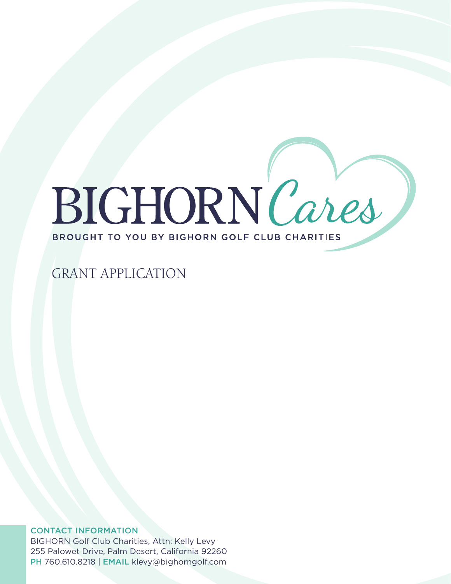# BIGHORN Cares BROUGHT TO YOU BY BIGHORN GOLF CLUB CHARITIES

# **GRANT APPLICATION**

## CONTACT INFORMATION

BIGHORN Golf Club Charities, Attn: Kelly Levy 255 Palowet Drive, Palm Desert, California 92260 PH 760.610.8218 | EMAIL klevy@bighorngolf.com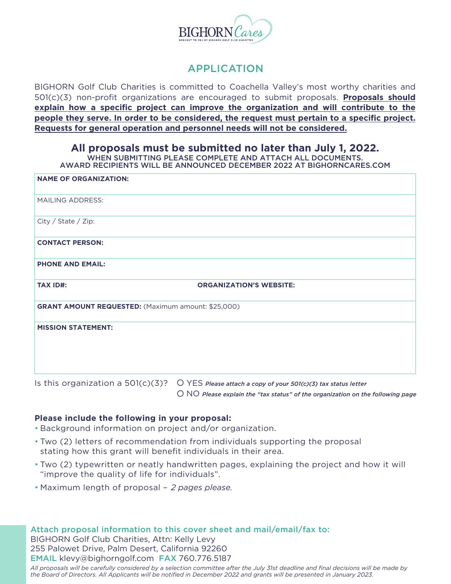

# APPLICATION

BIGHORN Golf Club Charities is committed to Coachella Valley's most worthy charities and 501(c)(3) non-profit organizations are encouraged to submit proposals. **Proposals should explain how a specific project can improve the organization and will contribute to the people they serve. In order to be considered, the request must pertain to a specific project. Requests for general operation and personnel needs will not be considered.**

### **All proposals must be submitted no later than July 1, 2022.**

WHEN SUBMITTING PLEASE COMPLETE AND ATTACH ALL DOCUMENTS.

AWARD RECIPIENTS WILL BE ANNOUNCED DECEMBER 2022 AT BIGHORNCARES.COM

| <b>NAME OF ORGANIZATION:</b>                              |                                |
|-----------------------------------------------------------|--------------------------------|
| <b>MAILING ADDRESS:</b>                                   |                                |
| City / State / Zip:                                       |                                |
| <b>CONTACT PERSON:</b>                                    |                                |
| <b>PHONE AND EMAIL:</b>                                   |                                |
| <b>TAX ID#:</b>                                           | <b>ORGANIZATION'S WEBSITE:</b> |
| <b>GRANT AMOUNT REQUESTED:</b> (Maximum amount: \$25,000) |                                |
| <b>MISSION STATEMENT:</b>                                 |                                |

Is this organization a 501(c)(3)? O YES *Please attach a copy of your 501(c)(3) tax status letter* 

NO *Please explain the "tax status" of the organization on the following page*

#### **Please include the following in your proposal:**

- Background information on project and/or organization. •
- Two (2) letters of recommendation from individuals supporting the proposal stating how this grant will benefit individuals in their area.
- . Two (2) typewritten or neatly handwritten pages, explaining the project and how it will "improve the quality of life for individuals".
- Maximum length of proposal *2 pages please.* •

Attach proposal information to this cover sheet and mail/email/fax to: BIGHORN Golf Club Charities, Attn: Kelly Levy 255 Palowet Drive, Palm Desert, California 92260 EMAIL klevy@bighorngolf.com FAX 760.776.5187 *All proposals will be carefully considered by a selection committee after the July 31st deadline and final decisions will be made by*

*the Board of Directors. All Applicants will be notified in December 2022 and grants will be presented in January 2023.*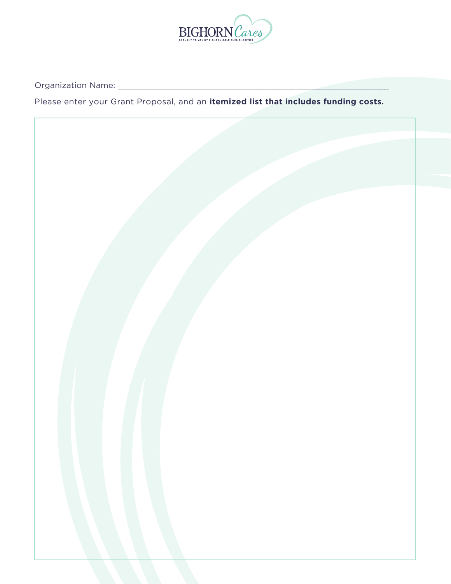

Organization Name: \_\_\_\_\_\_\_\_\_\_\_\_\_\_\_\_\_\_\_\_\_\_\_\_\_\_\_\_\_\_\_\_\_\_\_\_\_\_\_\_\_\_\_\_\_\_\_\_\_\_\_\_\_\_\_\_\_\_

Please enter your Grant Proposal, and an **itemized list that includes funding costs.**